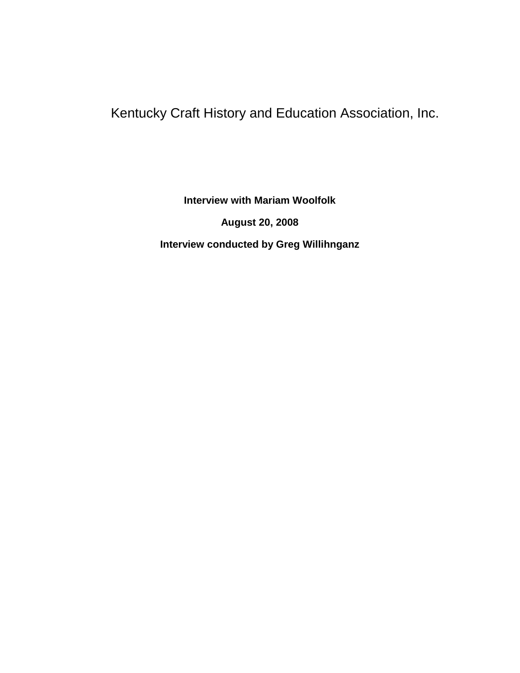## Kentucky Craft History and Education Association, Inc.

**Interview with Mariam Woolfolk August 20, 2008 Interview conducted by Greg Willihnganz**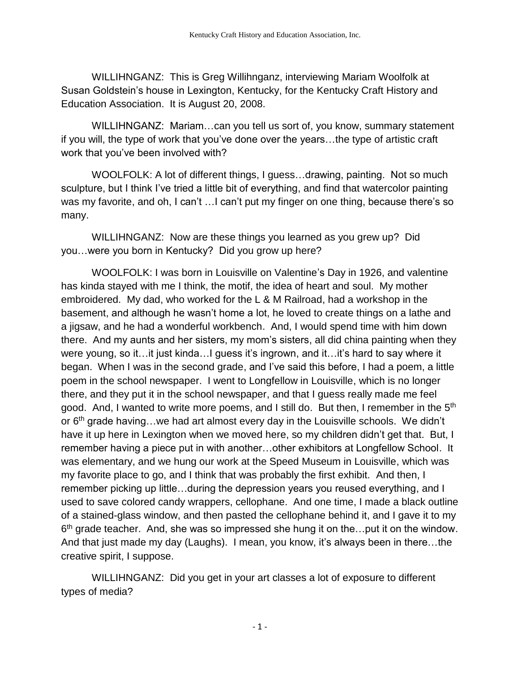WILLIHNGANZ: This is Greg Willihnganz, interviewing Mariam Woolfolk at Susan Goldstein's house in Lexington, Kentucky, for the Kentucky Craft History and Education Association. It is August 20, 2008.

WILLIHNGANZ: Mariam…can you tell us sort of, you know, summary statement if you will, the type of work that you've done over the years…the type of artistic craft work that you've been involved with?

WOOLFOLK: A lot of different things, I guess…drawing, painting. Not so much sculpture, but I think I've tried a little bit of everything, and find that watercolor painting was my favorite, and oh, I can't ... I can't put my finger on one thing, because there's so many.

WILLIHNGANZ: Now are these things you learned as you grew up? Did you…were you born in Kentucky? Did you grow up here?

WOOLFOLK: I was born in Louisville on Valentine's Day in 1926, and valentine has kinda stayed with me I think, the motif, the idea of heart and soul. My mother embroidered. My dad, who worked for the L & M Railroad, had a workshop in the basement, and although he wasn't home a lot, he loved to create things on a lathe and a jigsaw, and he had a wonderful workbench. And, I would spend time with him down there. And my aunts and her sisters, my mom's sisters, all did china painting when they were young, so it…it just kinda…I guess it's ingrown, and it…it's hard to say where it began. When I was in the second grade, and I've said this before, I had a poem, a little poem in the school newspaper. I went to Longfellow in Louisville, which is no longer there, and they put it in the school newspaper, and that I guess really made me feel good. And, I wanted to write more poems, and I still do. But then, I remember in the 5<sup>th</sup> or  $6<sup>th</sup>$  grade having... we had art almost every day in the Louisville schools. We didn't have it up here in Lexington when we moved here, so my children didn't get that. But, I remember having a piece put in with another…other exhibitors at Longfellow School. It was elementary, and we hung our work at the Speed Museum in Louisville, which was my favorite place to go, and I think that was probably the first exhibit. And then, I remember picking up little…during the depression years you reused everything, and I used to save colored candy wrappers, cellophane. And one time, I made a black outline of a stained-glass window, and then pasted the cellophane behind it, and I gave it to my  $6<sup>th</sup>$  grade teacher. And, she was so impressed she hung it on the...put it on the window. And that just made my day (Laughs). I mean, you know, it's always been in there…the creative spirit, I suppose.

WILLIHNGANZ: Did you get in your art classes a lot of exposure to different types of media?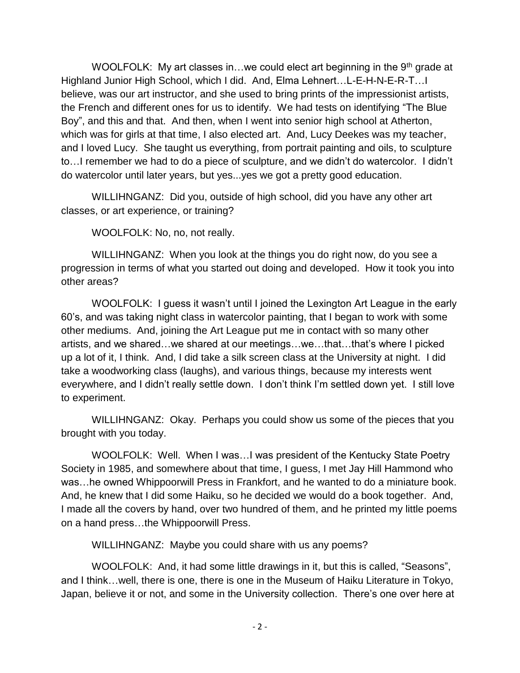WOOLFOLK: My art classes in...we could elect art beginning in the  $9<sup>th</sup>$  grade at Highland Junior High School, which I did. And, Elma Lehnert…L-E-H-N-E-R-T…I believe, was our art instructor, and she used to bring prints of the impressionist artists, the French and different ones for us to identify. We had tests on identifying "The Blue Boy", and this and that. And then, when I went into senior high school at Atherton, which was for girls at that time, I also elected art. And, Lucy Deekes was my teacher, and I loved Lucy. She taught us everything, from portrait painting and oils, to sculpture to…I remember we had to do a piece of sculpture, and we didn't do watercolor. I didn't do watercolor until later years, but yes...yes we got a pretty good education.

WILLIHNGANZ: Did you, outside of high school, did you have any other art classes, or art experience, or training?

WOOLFOLK: No, no, not really.

WILLIHNGANZ: When you look at the things you do right now, do you see a progression in terms of what you started out doing and developed. How it took you into other areas?

WOOLFOLK: I guess it wasn't until I joined the Lexington Art League in the early 60's, and was taking night class in watercolor painting, that I began to work with some other mediums. And, joining the Art League put me in contact with so many other artists, and we shared…we shared at our meetings…we…that…that's where I picked up a lot of it, I think. And, I did take a silk screen class at the University at night. I did take a woodworking class (laughs), and various things, because my interests went everywhere, and I didn't really settle down. I don't think I'm settled down yet. I still love to experiment.

WILLIHNGANZ: Okay. Perhaps you could show us some of the pieces that you brought with you today.

WOOLFOLK: Well. When I was…I was president of the Kentucky State Poetry Society in 1985, and somewhere about that time, I guess, I met Jay Hill Hammond who was…he owned Whippoorwill Press in Frankfort, and he wanted to do a miniature book. And, he knew that I did some Haiku, so he decided we would do a book together. And, I made all the covers by hand, over two hundred of them, and he printed my little poems on a hand press…the Whippoorwill Press.

WILLIHNGANZ: Maybe you could share with us any poems?

WOOLFOLK: And, it had some little drawings in it, but this is called, "Seasons", and I think…well, there is one, there is one in the Museum of Haiku Literature in Tokyo, Japan, believe it or not, and some in the University collection. There's one over here at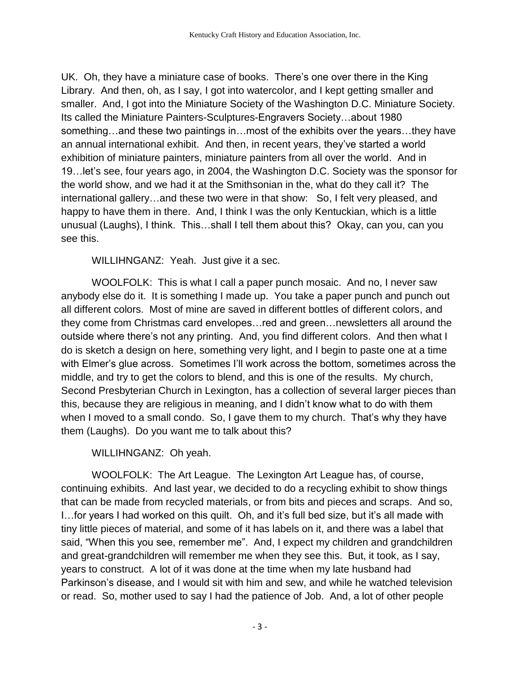UK. Oh, they have a miniature case of books. There's one over there in the King Library. And then, oh, as I say, I got into watercolor, and I kept getting smaller and smaller. And, I got into the Miniature Society of the Washington D.C. Miniature Society. Its called the Miniature Painters-Sculptures-Engravers Society…about 1980 something…and these two paintings in…most of the exhibits over the years…they have an annual international exhibit. And then, in recent years, they've started a world exhibition of miniature painters, miniature painters from all over the world. And in 19…let's see, four years ago, in 2004, the Washington D.C. Society was the sponsor for the world show, and we had it at the Smithsonian in the, what do they call it? The international gallery…and these two were in that show: So, I felt very pleased, and happy to have them in there. And, I think I was the only Kentuckian, which is a little unusual (Laughs), I think. This…shall I tell them about this? Okay, can you, can you see this.

WILLIHNGANZ: Yeah. Just give it a sec.

WOOLFOLK: This is what I call a paper punch mosaic. And no, I never saw anybody else do it. It is something I made up. You take a paper punch and punch out all different colors. Most of mine are saved in different bottles of different colors, and they come from Christmas card envelopes…red and green…newsletters all around the outside where there's not any printing. And, you find different colors. And then what I do is sketch a design on here, something very light, and I begin to paste one at a time with Elmer's glue across. Sometimes I'll work across the bottom, sometimes across the middle, and try to get the colors to blend, and this is one of the results. My church, Second Presbyterian Church in Lexington, has a collection of several larger pieces than this, because they are religious in meaning, and I didn't know what to do with them when I moved to a small condo. So, I gave them to my church. That's why they have them (Laughs). Do you want me to talk about this?

WILLIHNGANZ: Oh yeah.

WOOLFOLK: The Art League. The Lexington Art League has, of course, continuing exhibits. And last year, we decided to do a recycling exhibit to show things that can be made from recycled materials, or from bits and pieces and scraps. And so, I…for years I had worked on this quilt. Oh, and it's full bed size, but it's all made with tiny little pieces of material, and some of it has labels on it, and there was a label that said, "When this you see, remember me". And, I expect my children and grandchildren and great-grandchildren will remember me when they see this. But, it took, as I say, years to construct. A lot of it was done at the time when my late husband had Parkinson's disease, and I would sit with him and sew, and while he watched television or read. So, mother used to say I had the patience of Job. And, a lot of other people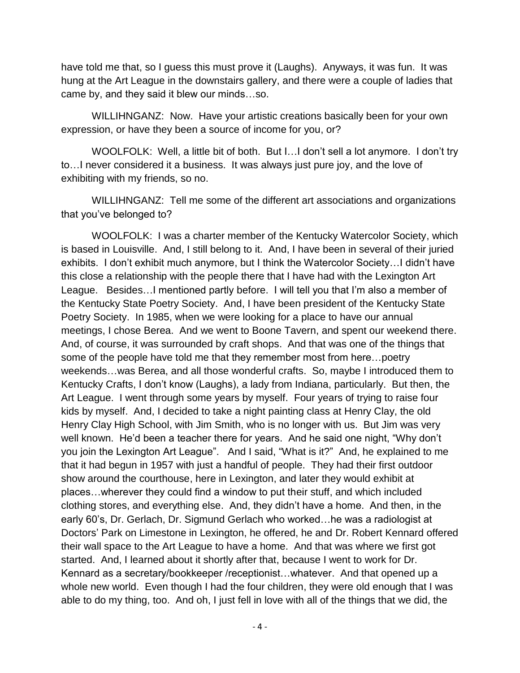have told me that, so I guess this must prove it (Laughs). Anyways, it was fun. It was hung at the Art League in the downstairs gallery, and there were a couple of ladies that came by, and they said it blew our minds…so.

WILLIHNGANZ: Now. Have your artistic creations basically been for your own expression, or have they been a source of income for you, or?

WOOLFOLK: Well, a little bit of both. But I…I don't sell a lot anymore. I don't try to…I never considered it a business. It was always just pure joy, and the love of exhibiting with my friends, so no.

WILLIHNGANZ: Tell me some of the different art associations and organizations that you've belonged to?

WOOLFOLK: I was a charter member of the Kentucky Watercolor Society, which is based in Louisville. And, I still belong to it. And, I have been in several of their juried exhibits. I don't exhibit much anymore, but I think the Watercolor Society…I didn't have this close a relationship with the people there that I have had with the Lexington Art League. Besides…I mentioned partly before. I will tell you that I'm also a member of the Kentucky State Poetry Society. And, I have been president of the Kentucky State Poetry Society. In 1985, when we were looking for a place to have our annual meetings, I chose Berea. And we went to Boone Tavern, and spent our weekend there. And, of course, it was surrounded by craft shops. And that was one of the things that some of the people have told me that they remember most from here…poetry weekends…was Berea, and all those wonderful crafts. So, maybe I introduced them to Kentucky Crafts, I don't know (Laughs), a lady from Indiana, particularly. But then, the Art League. I went through some years by myself. Four years of trying to raise four kids by myself. And, I decided to take a night painting class at Henry Clay, the old Henry Clay High School, with Jim Smith, who is no longer with us. But Jim was very well known. He'd been a teacher there for years. And he said one night, "Why don't you join the Lexington Art League". And I said, "What is it?" And, he explained to me that it had begun in 1957 with just a handful of people. They had their first outdoor show around the courthouse, here in Lexington, and later they would exhibit at places…wherever they could find a window to put their stuff, and which included clothing stores, and everything else. And, they didn't have a home. And then, in the early 60's, Dr. Gerlach, Dr. Sigmund Gerlach who worked…he was a radiologist at Doctors' Park on Limestone in Lexington, he offered, he and Dr. Robert Kennard offered their wall space to the Art League to have a home. And that was where we first got started. And, I learned about it shortly after that, because I went to work for Dr. Kennard as a secretary/bookkeeper /receptionist…whatever. And that opened up a whole new world. Even though I had the four children, they were old enough that I was able to do my thing, too. And oh, I just fell in love with all of the things that we did, the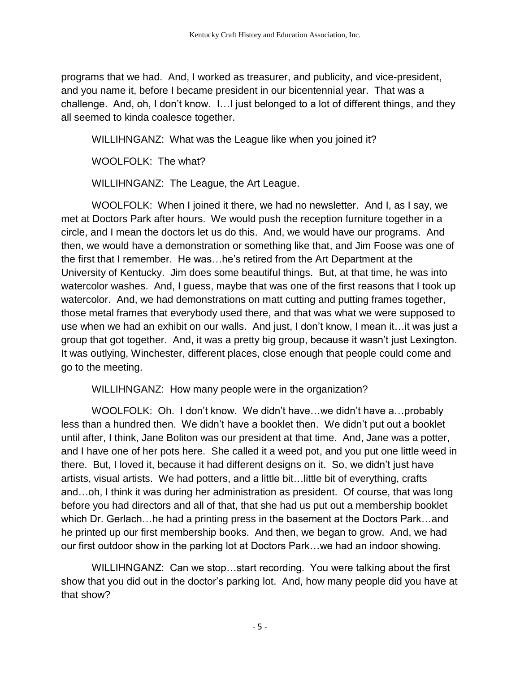programs that we had. And, I worked as treasurer, and publicity, and vice-president, and you name it, before I became president in our bicentennial year. That was a challenge. And, oh, I don't know. I…I just belonged to a lot of different things, and they all seemed to kinda coalesce together.

WILLIHNGANZ: What was the League like when you joined it?

WOOLFOLK: The what?

WILLIHNGANZ: The League, the Art League.

WOOLFOLK: When I joined it there, we had no newsletter. And I, as I say, we met at Doctors Park after hours. We would push the reception furniture together in a circle, and I mean the doctors let us do this. And, we would have our programs. And then, we would have a demonstration or something like that, and Jim Foose was one of the first that I remember. He was…he's retired from the Art Department at the University of Kentucky. Jim does some beautiful things. But, at that time, he was into watercolor washes. And, I guess, maybe that was one of the first reasons that I took up watercolor. And, we had demonstrations on matt cutting and putting frames together, those metal frames that everybody used there, and that was what we were supposed to use when we had an exhibit on our walls. And just, I don't know, I mean it…it was just a group that got together. And, it was a pretty big group, because it wasn't just Lexington. It was outlying, Winchester, different places, close enough that people could come and go to the meeting.

WILLIHNGANZ: How many people were in the organization?

WOOLFOLK: Oh. I don't know. We didn't have…we didn't have a…probably less than a hundred then. We didn't have a booklet then. We didn't put out a booklet until after, I think, Jane Boliton was our president at that time. And, Jane was a potter, and I have one of her pots here. She called it a weed pot, and you put one little weed in there. But, I loved it, because it had different designs on it. So, we didn't just have artists, visual artists. We had potters, and a little bit…little bit of everything, crafts and…oh, I think it was during her administration as president. Of course, that was long before you had directors and all of that, that she had us put out a membership booklet which Dr. Gerlach…he had a printing press in the basement at the Doctors Park…and he printed up our first membership books. And then, we began to grow. And, we had our first outdoor show in the parking lot at Doctors Park…we had an indoor showing.

WILLIHNGANZ: Can we stop…start recording. You were talking about the first show that you did out in the doctor's parking lot. And, how many people did you have at that show?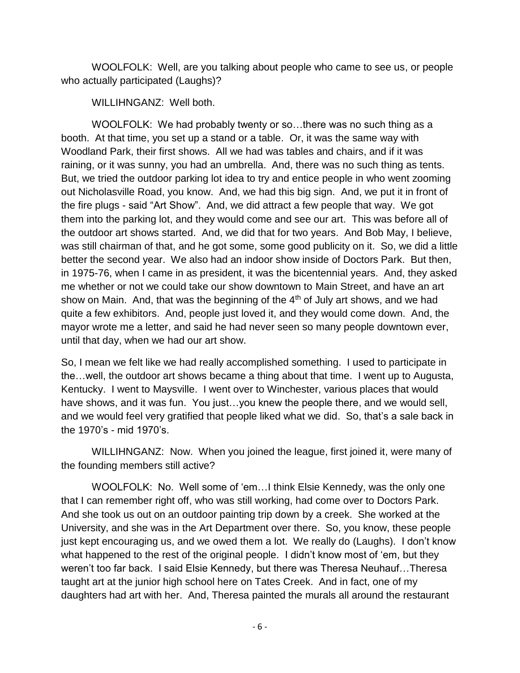WOOLFOLK: Well, are you talking about people who came to see us, or people who actually participated (Laughs)?

WILLIHNGANZ: Well both.

WOOLFOLK: We had probably twenty or so...there was no such thing as a booth. At that time, you set up a stand or a table. Or, it was the same way with Woodland Park, their first shows. All we had was tables and chairs, and if it was raining, or it was sunny, you had an umbrella. And, there was no such thing as tents. But, we tried the outdoor parking lot idea to try and entice people in who went zooming out Nicholasville Road, you know. And, we had this big sign. And, we put it in front of the fire plugs - said "Art Show". And, we did attract a few people that way. We got them into the parking lot, and they would come and see our art. This was before all of the outdoor art shows started. And, we did that for two years. And Bob May, I believe, was still chairman of that, and he got some, some good publicity on it. So, we did a little better the second year. We also had an indoor show inside of Doctors Park. But then, in 1975-76, when I came in as president, it was the bicentennial years. And, they asked me whether or not we could take our show downtown to Main Street, and have an art show on Main. And, that was the beginning of the  $4<sup>th</sup>$  of July art shows, and we had quite a few exhibitors. And, people just loved it, and they would come down. And, the mayor wrote me a letter, and said he had never seen so many people downtown ever, until that day, when we had our art show.

So, I mean we felt like we had really accomplished something. I used to participate in the…well, the outdoor art shows became a thing about that time. I went up to Augusta, Kentucky. I went to Maysville. I went over to Winchester, various places that would have shows, and it was fun. You just...you knew the people there, and we would sell, and we would feel very gratified that people liked what we did. So, that's a sale back in the 1970's - mid 1970's.

WILLIHNGANZ: Now. When you joined the league, first joined it, were many of the founding members still active?

WOOLFOLK: No. Well some of 'em…I think Elsie Kennedy, was the only one that I can remember right off, who was still working, had come over to Doctors Park. And she took us out on an outdoor painting trip down by a creek. She worked at the University, and she was in the Art Department over there. So, you know, these people just kept encouraging us, and we owed them a lot. We really do (Laughs). I don't know what happened to the rest of the original people. I didn't know most of 'em, but they weren't too far back. I said Elsie Kennedy, but there was Theresa Neuhauf…Theresa taught art at the junior high school here on Tates Creek. And in fact, one of my daughters had art with her. And, Theresa painted the murals all around the restaurant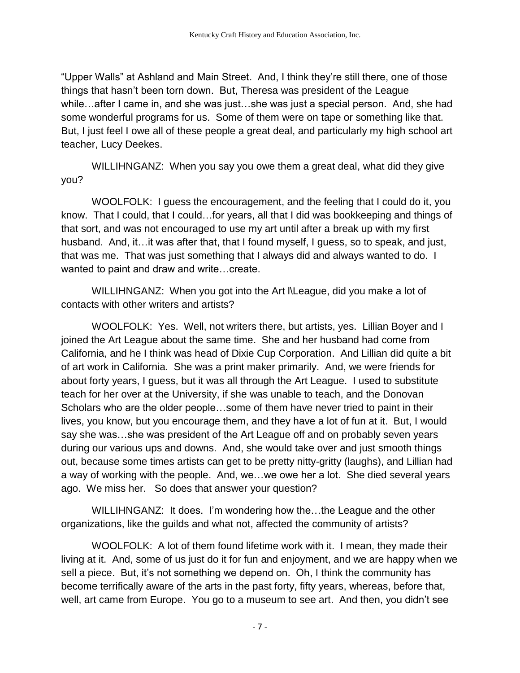"Upper Walls" at Ashland and Main Street. And, I think they're still there, one of those things that hasn't been torn down. But, Theresa was president of the League while…after I came in, and she was just…she was just a special person. And, she had some wonderful programs for us. Some of them were on tape or something like that. But, I just feel I owe all of these people a great deal, and particularly my high school art teacher, Lucy Deekes.

WILLIHNGANZ: When you say you owe them a great deal, what did they give you?

WOOLFOLK: I guess the encouragement, and the feeling that I could do it, you know. That I could, that I could…for years, all that I did was bookkeeping and things of that sort, and was not encouraged to use my art until after a break up with my first husband. And, it…it was after that, that I found myself, I guess, so to speak, and just, that was me. That was just something that I always did and always wanted to do. I wanted to paint and draw and write…create.

WILLIHNGANZ: When you got into the Art l\League, did you make a lot of contacts with other writers and artists?

WOOLFOLK: Yes. Well, not writers there, but artists, yes. Lillian Boyer and I joined the Art League about the same time. She and her husband had come from California, and he I think was head of Dixie Cup Corporation. And Lillian did quite a bit of art work in California. She was a print maker primarily. And, we were friends for about forty years, I guess, but it was all through the Art League. I used to substitute teach for her over at the University, if she was unable to teach, and the Donovan Scholars who are the older people…some of them have never tried to paint in their lives, you know, but you encourage them, and they have a lot of fun at it. But, I would say she was…she was president of the Art League off and on probably seven years during our various ups and downs. And, she would take over and just smooth things out, because some times artists can get to be pretty nitty-gritty (laughs), and Lillian had a way of working with the people. And, we…we owe her a lot. She died several years ago. We miss her. So does that answer your question?

WILLIHNGANZ: It does. I'm wondering how the…the League and the other organizations, like the guilds and what not, affected the community of artists?

WOOLFOLK: A lot of them found lifetime work with it. I mean, they made their living at it. And, some of us just do it for fun and enjoyment, and we are happy when we sell a piece. But, it's not something we depend on. Oh, I think the community has become terrifically aware of the arts in the past forty, fifty years, whereas, before that, well, art came from Europe. You go to a museum to see art. And then, you didn't see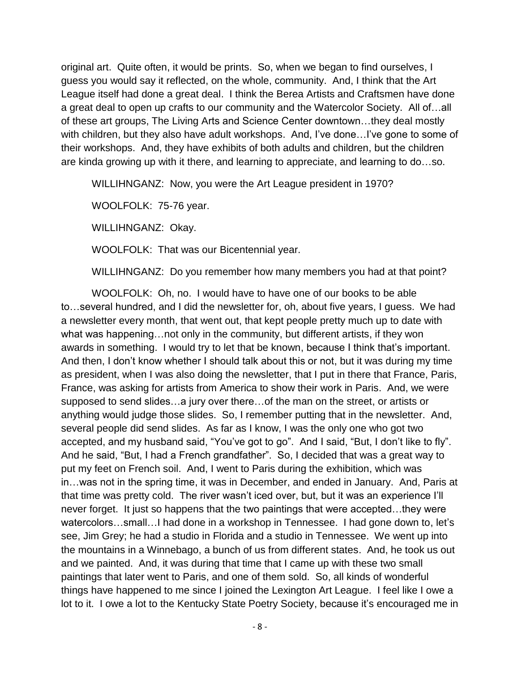original art. Quite often, it would be prints. So, when we began to find ourselves, I guess you would say it reflected, on the whole, community. And, I think that the Art League itself had done a great deal. I think the Berea Artists and Craftsmen have done a great deal to open up crafts to our community and the Watercolor Society. All of…all of these art groups, The Living Arts and Science Center downtown…they deal mostly with children, but they also have adult workshops. And, I've done…I've gone to some of their workshops. And, they have exhibits of both adults and children, but the children are kinda growing up with it there, and learning to appreciate, and learning to do…so.

WILLIHNGANZ: Now, you were the Art League president in 1970?

WOOLFOLK: 75-76 year.

WILLIHNGANZ: Okay.

WOOLFOLK: That was our Bicentennial year.

WILLIHNGANZ: Do you remember how many members you had at that point?

WOOLFOLK: Oh, no. I would have to have one of our books to be able to…several hundred, and I did the newsletter for, oh, about five years, I guess. We had a newsletter every month, that went out, that kept people pretty much up to date with what was happening…not only in the community, but different artists, if they won awards in something. I would try to let that be known, because I think that's important. And then, I don't know whether I should talk about this or not, but it was during my time as president, when I was also doing the newsletter, that I put in there that France, Paris, France, was asking for artists from America to show their work in Paris. And, we were supposed to send slides…a jury over there…of the man on the street, or artists or anything would judge those slides. So, I remember putting that in the newsletter. And, several people did send slides. As far as I know, I was the only one who got two accepted, and my husband said, "You've got to go". And I said, "But, I don't like to fly". And he said, "But, I had a French grandfather". So, I decided that was a great way to put my feet on French soil. And, I went to Paris during the exhibition, which was in…was not in the spring time, it was in December, and ended in January. And, Paris at that time was pretty cold. The river wasn't iced over, but, but it was an experience I'll never forget. It just so happens that the two paintings that were accepted…they were watercolors...small... I had done in a workshop in Tennessee. I had gone down to, let's see, Jim Grey; he had a studio in Florida and a studio in Tennessee. We went up into the mountains in a Winnebago, a bunch of us from different states. And, he took us out and we painted. And, it was during that time that I came up with these two small paintings that later went to Paris, and one of them sold. So, all kinds of wonderful things have happened to me since I joined the Lexington Art League. I feel like I owe a lot to it. I owe a lot to the Kentucky State Poetry Society, because it's encouraged me in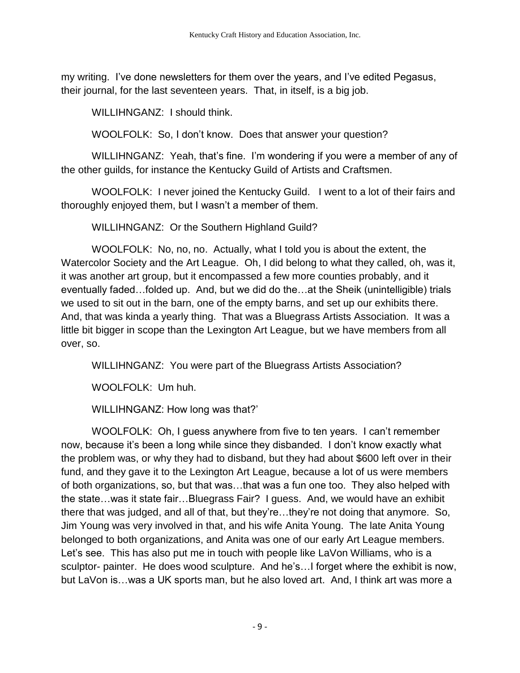my writing. I've done newsletters for them over the years, and I've edited Pegasus, their journal, for the last seventeen years. That, in itself, is a big job.

WILLIHNGANZ: I should think.

WOOLFOLK: So, I don't know. Does that answer your question?

WILLIHNGANZ: Yeah, that's fine. I'm wondering if you were a member of any of the other guilds, for instance the Kentucky Guild of Artists and Craftsmen.

WOOLFOLK: I never joined the Kentucky Guild. I went to a lot of their fairs and thoroughly enjoyed them, but I wasn't a member of them.

WILLIHNGANZ: Or the Southern Highland Guild?

WOOLFOLK: No, no, no. Actually, what I told you is about the extent, the Watercolor Society and the Art League. Oh, I did belong to what they called, oh, was it, it was another art group, but it encompassed a few more counties probably, and it eventually faded…folded up. And, but we did do the…at the Sheik (unintelligible) trials we used to sit out in the barn, one of the empty barns, and set up our exhibits there. And, that was kinda a yearly thing. That was a Bluegrass Artists Association. It was a little bit bigger in scope than the Lexington Art League, but we have members from all over, so.

WILLIHNGANZ: You were part of the Bluegrass Artists Association?

WOOLFOLK: Um huh.

WILLIHNGANZ: How long was that?'

WOOLFOLK: Oh, I guess anywhere from five to ten years. I can't remember now, because it's been a long while since they disbanded. I don't know exactly what the problem was, or why they had to disband, but they had about \$600 left over in their fund, and they gave it to the Lexington Art League, because a lot of us were members of both organizations, so, but that was…that was a fun one too. They also helped with the state…was it state fair…Bluegrass Fair? I guess. And, we would have an exhibit there that was judged, and all of that, but they're…they're not doing that anymore. So, Jim Young was very involved in that, and his wife Anita Young. The late Anita Young belonged to both organizations, and Anita was one of our early Art League members. Let's see. This has also put me in touch with people like LaVon Williams, who is a sculptor- painter. He does wood sculpture. And he's…I forget where the exhibit is now, but LaVon is…was a UK sports man, but he also loved art. And, I think art was more a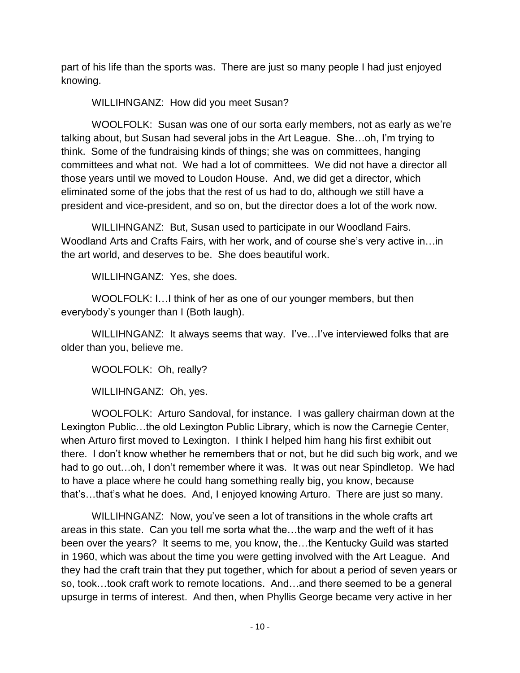part of his life than the sports was. There are just so many people I had just enjoyed knowing.

WILLIHNGANZ: How did you meet Susan?

WOOLFOLK: Susan was one of our sorta early members, not as early as we're talking about, but Susan had several jobs in the Art League. She…oh, I'm trying to think. Some of the fundraising kinds of things; she was on committees, hanging committees and what not. We had a lot of committees. We did not have a director all those years until we moved to Loudon House. And, we did get a director, which eliminated some of the jobs that the rest of us had to do, although we still have a president and vice-president, and so on, but the director does a lot of the work now.

WILLIHNGANZ: But, Susan used to participate in our Woodland Fairs. Woodland Arts and Crafts Fairs, with her work, and of course she's very active in…in the art world, and deserves to be. She does beautiful work.

WILLIHNGANZ: Yes, she does.

WOOLFOLK: I…I think of her as one of our younger members, but then everybody's younger than I (Both laugh).

WILLIHNGANZ: It always seems that way. I've…I've interviewed folks that are older than you, believe me.

WOOLFOLK: Oh, really?

WILLIHNGANZ: Oh, yes.

WOOLFOLK: Arturo Sandoval, for instance. I was gallery chairman down at the Lexington Public…the old Lexington Public Library, which is now the Carnegie Center, when Arturo first moved to Lexington. I think I helped him hang his first exhibit out there. I don't know whether he remembers that or not, but he did such big work, and we had to go out...oh, I don't remember where it was. It was out near Spindletop. We had to have a place where he could hang something really big, you know, because that's…that's what he does. And, I enjoyed knowing Arturo. There are just so many.

WILLIHNGANZ: Now, you've seen a lot of transitions in the whole crafts art areas in this state. Can you tell me sorta what the…the warp and the weft of it has been over the years? It seems to me, you know, the…the Kentucky Guild was started in 1960, which was about the time you were getting involved with the Art League. And they had the craft train that they put together, which for about a period of seven years or so, took…took craft work to remote locations. And…and there seemed to be a general upsurge in terms of interest. And then, when Phyllis George became very active in her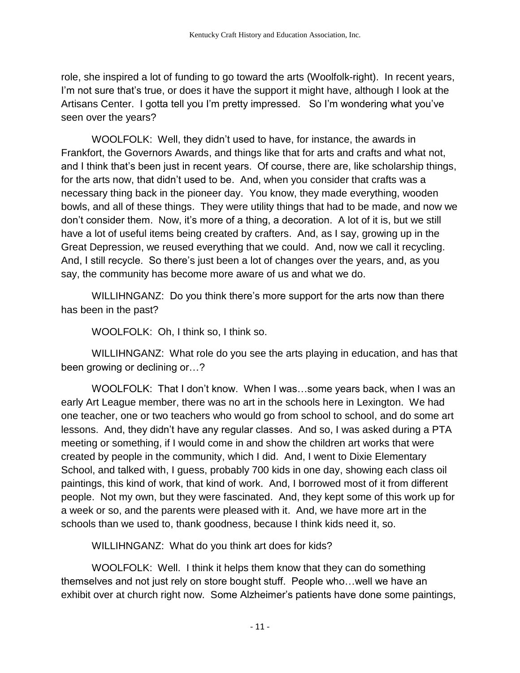role, she inspired a lot of funding to go toward the arts (Woolfolk-right). In recent years, I'm not sure that's true, or does it have the support it might have, although I look at the Artisans Center. I gotta tell you I'm pretty impressed. So I'm wondering what you've seen over the years?

WOOLFOLK: Well, they didn't used to have, for instance, the awards in Frankfort, the Governors Awards, and things like that for arts and crafts and what not, and I think that's been just in recent years. Of course, there are, like scholarship things, for the arts now, that didn't used to be. And, when you consider that crafts was a necessary thing back in the pioneer day. You know, they made everything, wooden bowls, and all of these things. They were utility things that had to be made, and now we don't consider them. Now, it's more of a thing, a decoration. A lot of it is, but we still have a lot of useful items being created by crafters. And, as I say, growing up in the Great Depression, we reused everything that we could. And, now we call it recycling. And, I still recycle. So there's just been a lot of changes over the years, and, as you say, the community has become more aware of us and what we do.

WILLIHNGANZ: Do you think there's more support for the arts now than there has been in the past?

WOOLFOLK: Oh, I think so, I think so.

WILLIHNGANZ: What role do you see the arts playing in education, and has that been growing or declining or…?

WOOLFOLK: That I don't know. When I was…some years back, when I was an early Art League member, there was no art in the schools here in Lexington. We had one teacher, one or two teachers who would go from school to school, and do some art lessons. And, they didn't have any regular classes. And so, I was asked during a PTA meeting or something, if I would come in and show the children art works that were created by people in the community, which I did. And, I went to Dixie Elementary School, and talked with, I guess, probably 700 kids in one day, showing each class oil paintings, this kind of work, that kind of work. And, I borrowed most of it from different people. Not my own, but they were fascinated. And, they kept some of this work up for a week or so, and the parents were pleased with it. And, we have more art in the schools than we used to, thank goodness, because I think kids need it, so.

WILLIHNGANZ: What do you think art does for kids?

WOOLFOLK: Well. I think it helps them know that they can do something themselves and not just rely on store bought stuff. People who…well we have an exhibit over at church right now. Some Alzheimer's patients have done some paintings,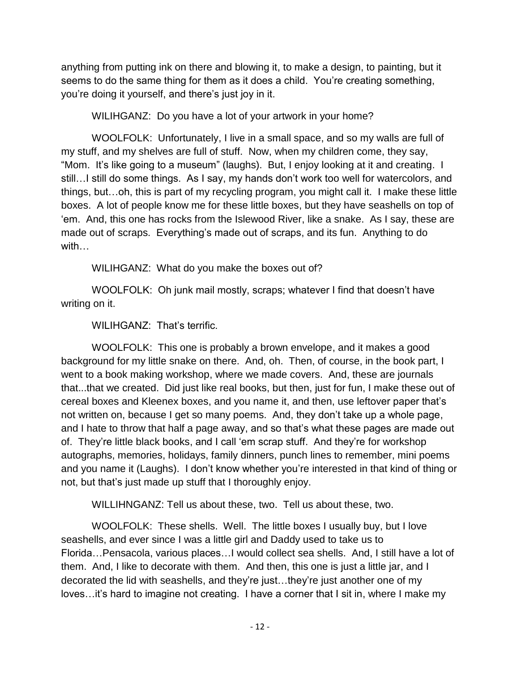anything from putting ink on there and blowing it, to make a design, to painting, but it seems to do the same thing for them as it does a child. You're creating something, you're doing it yourself, and there's just joy in it.

WILIHGANZ: Do you have a lot of your artwork in your home?

WOOLFOLK: Unfortunately, I live in a small space, and so my walls are full of my stuff, and my shelves are full of stuff. Now, when my children come, they say, "Mom. It's like going to a museum" (laughs). But, I enjoy looking at it and creating. I still…I still do some things. As I say, my hands don't work too well for watercolors, and things, but…oh, this is part of my recycling program, you might call it. I make these little boxes. A lot of people know me for these little boxes, but they have seashells on top of 'em. And, this one has rocks from the Islewood River, like a snake. As I say, these are made out of scraps. Everything's made out of scraps, and its fun. Anything to do with…

WILIHGANZ: What do you make the boxes out of?

WOOLFOLK: Oh junk mail mostly, scraps; whatever I find that doesn't have writing on it.

WILIHGANZ: That's terrific.

WOOLFOLK: This one is probably a brown envelope, and it makes a good background for my little snake on there. And, oh. Then, of course, in the book part, I went to a book making workshop, where we made covers. And, these are journals that...that we created. Did just like real books, but then, just for fun, I make these out of cereal boxes and Kleenex boxes, and you name it, and then, use leftover paper that's not written on, because I get so many poems. And, they don't take up a whole page, and I hate to throw that half a page away, and so that's what these pages are made out of. They're little black books, and I call 'em scrap stuff. And they're for workshop autographs, memories, holidays, family dinners, punch lines to remember, mini poems and you name it (Laughs). I don't know whether you're interested in that kind of thing or not, but that's just made up stuff that I thoroughly enjoy.

WILLIHNGANZ: Tell us about these, two. Tell us about these, two.

WOOLFOLK: These shells. Well. The little boxes I usually buy, but I love seashells, and ever since I was a little girl and Daddy used to take us to Florida…Pensacola, various places…I would collect sea shells. And, I still have a lot of them. And, I like to decorate with them. And then, this one is just a little jar, and I decorated the lid with seashells, and they're just…they're just another one of my loves…it's hard to imagine not creating. I have a corner that I sit in, where I make my